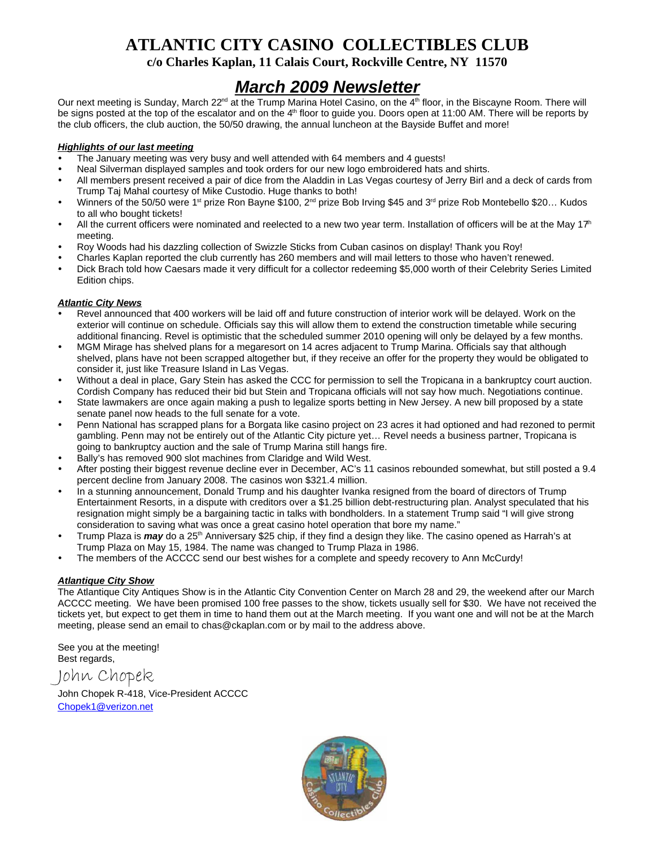# **ATLANTIC CITY CASINO COLLECTIBLES CLUB**

**c/o Charles Kaplan, 11 Calais Court, Rockville Centre, NY 11570**

## *March 2009 Newsletter*

Our next meeting is Sunday, March 22<sup>nd</sup> at the Trump Marina Hotel Casino, on the 4<sup>th</sup> floor, in the Biscayne Room. There will be signs posted at the top of the escalator and on the 4<sup>th</sup> floor to guide you. Doors open at 11:00 AM. There will be reports by the club officers, the club auction, the 50/50 drawing, the annual luncheon at the Bayside Buffet and more!

#### *Highlights of our last meeting*

- The January meeting was very busy and well attended with 64 members and 4 quests!
- Neal Silverman displayed samples and took orders for our new logo embroidered hats and shirts.
- All members present received a pair of dice from the Aladdin in Las Vegas courtesy of Jerry Birl and a deck of cards from Trump Taj Mahal courtesy of Mike Custodio. Huge thanks to both!
- Winners of the 50/50 were 1<sup>st</sup> prize Ron Bayne \$100, 2<sup>nd</sup> prize Bob Irving \$45 and 3<sup>rd</sup> prize Rob Montebello \$20... Kudos to all who bought tickets!
- All the current officers were nominated and reelected to a new two year term. Installation of officers will be at the May  $17<sup>th</sup>$ meeting.
- Roy Woods had his dazzling collection of Swizzle Sticks from Cuban casinos on display! Thank you Roy!
- Charles Kaplan reported the club currently has 260 members and will mail letters to those who haven't renewed.
- Dick Brach told how Caesars made it very difficult for a collector redeeming \$5,000 worth of their Celebrity Series Limited Edition chips.

### *Atlantic City News*

- Revel announced that 400 workers will be laid off and future construction of interior work will be delayed. Work on the exterior will continue on schedule. Officials say this will allow them to extend the construction timetable while securing additional financing. Revel is optimistic that the scheduled summer 2010 opening will only be delayed by a few months.
- MGM Mirage has shelved plans for a megaresort on 14 acres adjacent to Trump Marina. Officials say that although shelved, plans have not been scrapped altogether but, if they receive an offer for the property they would be obligated to consider it, just like Treasure Island in Las Vegas.
- Without a deal in place, Gary Stein has asked the CCC for permission to sell the Tropicana in a bankruptcy court auction. Cordish Company has reduced their bid but Stein and Tropicana officials will not say how much. Negotiations continue.
- State lawmakers are once again making a push to legalize sports betting in New Jersey. A new bill proposed by a state senate panel now heads to the full senate for a vote.
- Penn National has scrapped plans for a Borgata like casino project on 23 acres it had optioned and had rezoned to permit gambling. Penn may not be entirely out of the Atlantic City picture yet… Revel needs a business partner, Tropicana is going to bankruptcy auction and the sale of Trump Marina still hangs fire.
- Bally's has removed 900 slot machines from Claridge and Wild West.
- After posting their biggest revenue decline ever in December, AC's 11 casinos rebounded somewhat, but still posted a 9.4 percent decline from January 2008. The casinos won \$321.4 million.
- In a stunning announcement, Donald Trump and his daughter Ivanka resigned from the board of directors of Trump Entertainment Resorts, in a dispute with creditors over a \$1.25 billion debt-restructuring plan. Analyst speculated that his resignation might simply be a bargaining tactic in talks with bondholders. In a statement Trump said "I will give strong consideration to saving what was once a great casino hotel operation that bore my name."
- Trump Plaza is *may* do a 25<sup>th</sup> Anniversary \$25 chip, if they find a design they like. The casino opened as Harrah's at Trump Plaza on May 15, 1984. The name was changed to Trump Plaza in 1986.
- The members of the ACCCC send our best wishes for a complete and speedy recovery to Ann McCurdy!

### *Atlantique City Show*

The Atlantique City Antiques Show is in the Atlantic City Convention Center on March 28 and 29, the weekend after our March ACCCC meeting. We have been promised 100 free passes to the show, tickets usually sell for \$30. We have not received the tickets yet, but expect to get them in time to hand them out at the March meeting. If you want one and will not be at the March meeting, please send an email to chas@ckaplan.com or by mail to the address above.

See you at the meeting! Best regards,

John Chopek

John Chopek R-418, Vice-President ACCCC Chopek1@verizon.net

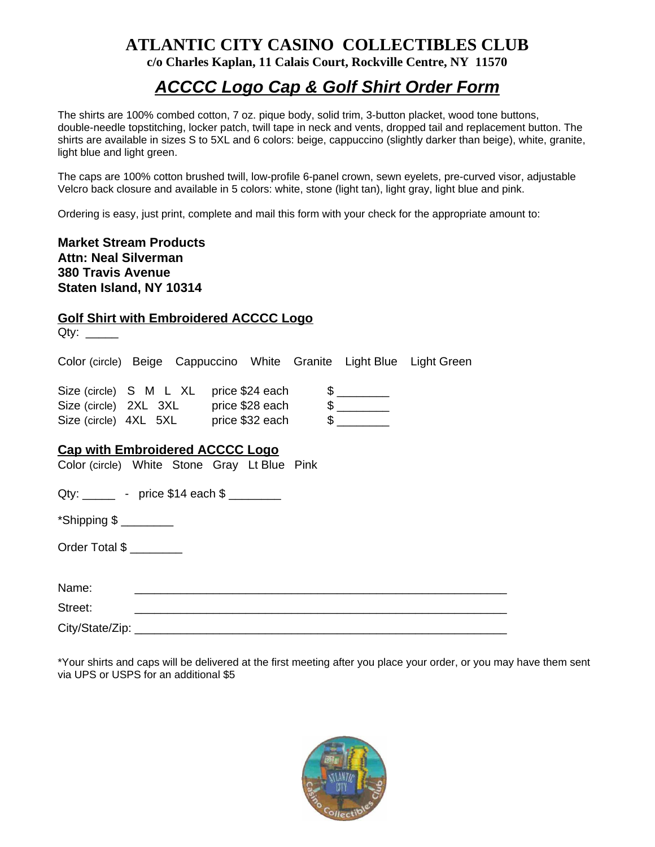## **ATLANTIC CITY CASINO COLLECTIBLES CLUB c/o Charles Kaplan, 11 Calais Court, Rockville Centre, NY 11570**

# *ACCCC Logo Cap & Golf Shirt Order Form*

The shirts are 100% combed cotton, 7 oz. pique body, solid trim, 3-button placket, wood tone buttons, double-needle topstitching, locker patch, twill tape in neck and vents, dropped tail and replacement button. The shirts are available in sizes S to 5XL and 6 colors: beige, cappuccino (slightly darker than beige), white, granite, light blue and light green.

The caps are 100% cotton brushed twill, low-profile 6-panel crown, sewn eyelets, pre-curved visor, adjustable Velcro back closure and available in 5 colors: white, stone (light tan), light gray, light blue and pink.

Ordering is easy, just print, complete and mail this form with your check for the appropriate amount to:

### **Market Stream Products Attn: Neal Silverman 380 Travis Avenue Staten Island, NY 10314**

## **Golf Shirt with Embroidered ACCCC Logo**

| Qty: $\_\_\_\_\_\_\_\_\_\$                                                             |  |                                                                      |  |  |  |
|----------------------------------------------------------------------------------------|--|----------------------------------------------------------------------|--|--|--|
|                                                                                        |  | Color (circle) Beige Cappuccino White Granite Light Blue Light Green |  |  |  |
|                                                                                        |  |                                                                      |  |  |  |
| <b>Cap with Embroidered ACCCC Logo</b><br>Color (circle) White Stone Gray Lt Blue Pink |  |                                                                      |  |  |  |
| Qty: ________ - price \$14 each \$ ________                                            |  |                                                                      |  |  |  |
| *Shipping $$$ _________                                                                |  |                                                                      |  |  |  |
| Order Total \$                                                                         |  |                                                                      |  |  |  |
| Name:                                                                                  |  |                                                                      |  |  |  |
| Street:                                                                                |  |                                                                      |  |  |  |
| City/State/Zip: ____________________                                                   |  |                                                                      |  |  |  |

\*Your shirts and caps will be delivered at the first meeting after you place your order, or you may have them sent via UPS or USPS for an additional \$5